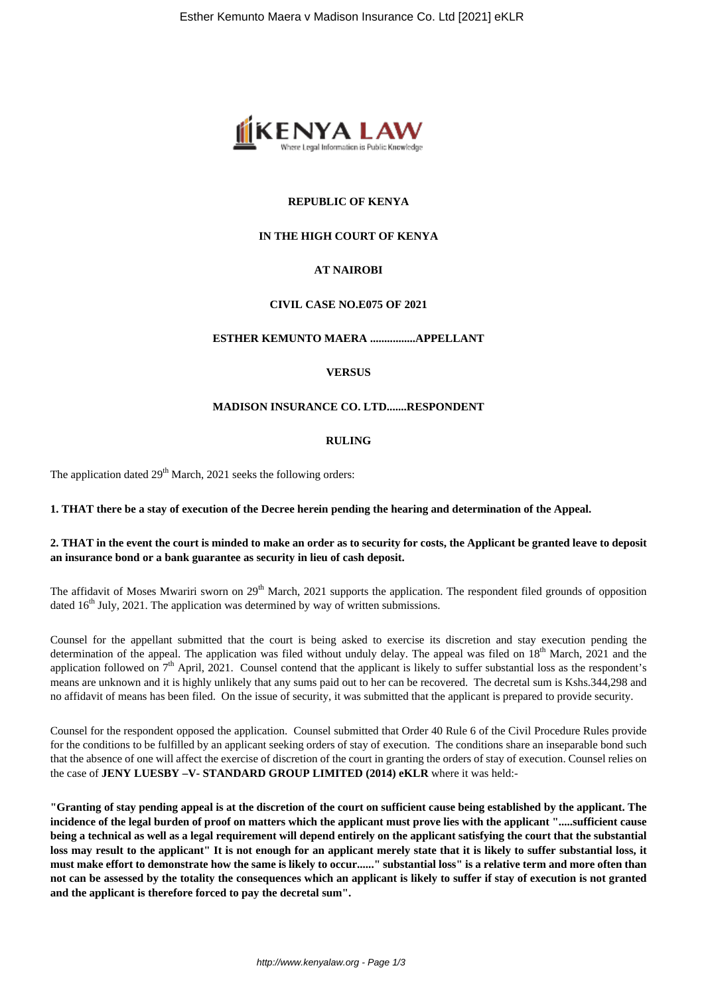

# **REPUBLIC OF KENYA**

## **IN THE HIGH COURT OF KENYA**

# **AT NAIROBI**

#### **CIVIL CASE NO.E075 OF 2021**

#### **ESTHER KEMUNTO MAERA ................APPELLANT**

### **VERSUS**

#### **MADISON INSURANCE CO. LTD.......RESPONDENT**

#### **RULING**

The application dated  $29<sup>th</sup>$  March, 2021 seeks the following orders:

#### **1. THAT there be a stay of execution of the Decree herein pending the hearing and determination of the Appeal.**

#### **2. THAT in the event the court is minded to make an order as to security for costs, the Applicant be granted leave to deposit an insurance bond or a bank guarantee as security in lieu of cash deposit.**

The affidavit of Moses Mwariri sworn on  $29<sup>th</sup>$  March, 2021 supports the application. The respondent filed grounds of opposition dated  $16<sup>th</sup>$  July, 2021. The application was determined by way of written submissions.

Counsel for the appellant submitted that the court is being asked to exercise its discretion and stay execution pending the determination of the appeal. The application was filed without unduly delay. The appeal was filed on  $18<sup>th</sup>$  March, 2021 and the application followed on  $7<sup>th</sup>$  April, 2021. Counsel contend that the applicant is likely to suffer substantial loss as the respondent's means are unknown and it is highly unlikely that any sums paid out to her can be recovered. The decretal sum is Kshs.344,298 and no affidavit of means has been filed. On the issue of security, it was submitted that the applicant is prepared to provide security.

Counsel for the respondent opposed the application. Counsel submitted that Order 40 Rule 6 of the Civil Procedure Rules provide for the conditions to be fulfilled by an applicant seeking orders of stay of execution. The conditions share an inseparable bond such that the absence of one will affect the exercise of discretion of the court in granting the orders of stay of execution. Counsel relies on the case of **JENY LUESBY –V- STANDARD GROUP LIMITED (2014) eKLR** where it was held:-

**"Granting of stay pending appeal is at the discretion of the court on sufficient cause being established by the applicant. The incidence of the legal burden of proof on matters which the applicant must prove lies with the applicant ".....sufficient cause being a technical as well as a legal requirement will depend entirely on the applicant satisfying the court that the substantial loss may result to the applicant" It is not enough for an applicant merely state that it is likely to suffer substantial loss, it must make effort to demonstrate how the same is likely to occur......" substantial loss" is a relative term and more often than not can be assessed by the totality the consequences which an applicant is likely to suffer if stay of execution is not granted and the applicant is therefore forced to pay the decretal sum".**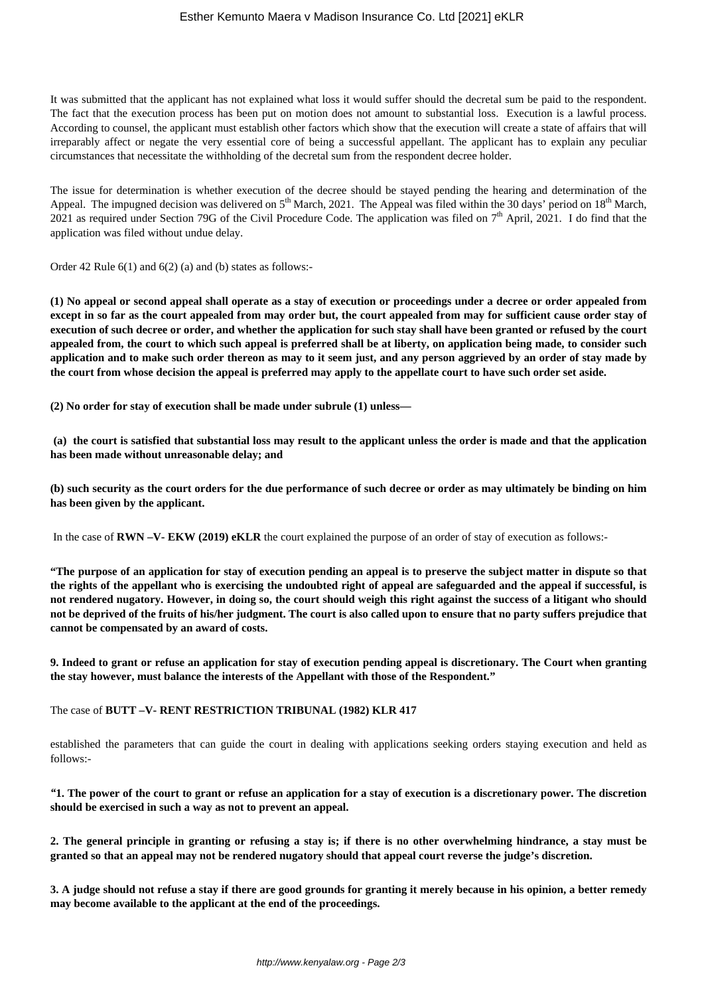It was submitted that the applicant has not explained what loss it would suffer should the decretal sum be paid to the respondent. The fact that the execution process has been put on motion does not amount to substantial loss. Execution is a lawful process. According to counsel, the applicant must establish other factors which show that the execution will create a state of affairs that will irreparably affect or negate the very essential core of being a successful appellant. The applicant has to explain any peculiar circumstances that necessitate the withholding of the decretal sum from the respondent decree holder.

The issue for determination is whether execution of the decree should be stayed pending the hearing and determination of the Appeal. The impugned decision was delivered on  $5<sup>th</sup>$  March, 2021. The Appeal was filed within the 30 days' period on  $18<sup>th</sup>$  March, 2021 as required under Section 79G of the Civil Procedure Code. The application was filed on  $7<sup>th</sup>$  April, 2021. I do find that the application was filed without undue delay.

Order 42 Rule 6(1) and 6(2) (a) and (b) states as follows:-

**(1) No appeal or second appeal shall operate as a stay of execution or proceedings under a decree or order appealed from except in so far as the court appealed from may order but, the court appealed from may for sufficient cause order stay of execution of such decree or order, and whether the application for such stay shall have been granted or refused by the court appealed from, the court to which such appeal is preferred shall be at liberty, on application being made, to consider such application and to make such order thereon as may to it seem just, and any person aggrieved by an order of stay made by the court from whose decision the appeal is preferred may apply to the appellate court to have such order set aside.**

**(2) No order for stay of execution shall be made under subrule (1) unless—**

**(a) the court is satisfied that substantial loss may result to the applicant unless the order is made and that the application has been made without unreasonable delay; and**

**(b) such security as the court orders for the due performance of such decree or order as may ultimately be binding on him has been given by the applicant.**

In the case of **RWN –V- EKW (2019) eKLR** the court explained the purpose of an order of stay of execution as follows:-

**"The purpose of an application for stay of execution pending an appeal is to preserve the subject matter in dispute so that the rights of the appellant who is exercising the undoubted right of appeal are safeguarded and the appeal if successful, is not rendered nugatory. However, in doing so, the court should weigh this right against the success of a litigant who should not be deprived of the fruits of his/her judgment. The court is also called upon to ensure that no party suffers prejudice that cannot be compensated by an award of costs.**

**9. Indeed to grant or refuse an application for stay of execution pending appeal is discretionary. The Court when granting the stay however, must balance the interests of the Appellant with those of the Respondent."**

The case of **BUTT –V- RENT RESTRICTION TRIBUNAL (1982) KLR 417** 

established the parameters that can guide the court in dealing with applications seeking orders staying execution and held as follows:-

*"***1. The power of the court to grant or refuse an application for a stay of execution is a discretionary power. The discretion should be exercised in such a way as not to prevent an appeal.**

**2. The general principle in granting or refusing a stay is; if there is no other overwhelming hindrance, a stay must be granted so that an appeal may not be rendered nugatory should that appeal court reverse the judge's discretion.**

**3. A judge should not refuse a stay if there are good grounds for granting it merely because in his opinion, a better remedy may become available to the applicant at the end of the proceedings.**